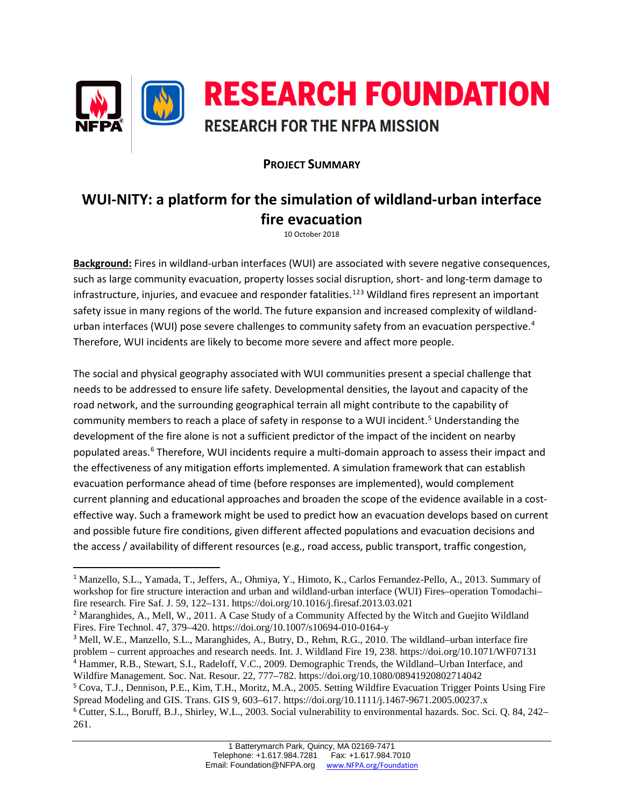

## **PROJECT SUMMARY**

# **WUI-NITY: a platform for the simulation of wildland-urban interface fire evacuation**

10 October 2018

**Background:** Fires in wildland-urban interfaces (WUI) are associated with severe negative consequences, such as large community evacuation, property losses social disruption, short- and long-term damage to infrastructure, injuries, and evacuee and responder fatalities. [1](#page-0-0)[2](#page-0-1)[3](#page-0-2) Wildland fires represent an important safety issue in many regions of the world. The future expansion and increased complexity of wildland-urban interfaces (WUI) pose severe challenges to community safety from an evacuation perspective.<sup>[4](#page-0-3)</sup> Therefore, WUI incidents are likely to become more severe and affect more people.

The social and physical geography associated with WUI communities present a special challenge that needs to be addressed to ensure life safety. Developmental densities, the layout and capacity of the road network, and the surrounding geographical terrain all might contribute to the capability of community members to reach a place of safety in response to a WUI incident.<sup>[5](#page-0-4)</sup> Understanding the development of the fire alone is not a sufficient predictor of the impact of the incident on nearby populated areas. [6](#page-0-5) Therefore, WUI incidents require a multi-domain approach to assess their impact and the effectiveness of any mitigation efforts implemented. A simulation framework that can establish evacuation performance ahead of time (before responses are implemented), would complement current planning and educational approaches and broaden the scope of the evidence available in a costeffective way. Such a framework might be used to predict how an evacuation develops based on current and possible future fire conditions, given different affected populations and evacuation decisions and the access / availability of different resources (e.g., road access, public transport, traffic congestion,

 $\overline{\phantom{a}}$ 

<span id="page-0-0"></span><sup>1</sup> Manzello, S.L., Yamada, T., Jeffers, A., Ohmiya, Y., Himoto, K., Carlos Fernandez-Pello, A., 2013. Summary of workshop for fire structure interaction and urban and wildland-urban interface (WUI) Fires–operation Tomodachi– fire research. Fire Saf. J. 59, 122–131. https://doi.org/10.1016/j.firesaf.2013.03.021

<span id="page-0-1"></span><sup>&</sup>lt;sup>2</sup> Maranghides, A., Mell, W., 2011. A Case Study of a Community Affected by the Witch and Guejito Wildland Fires. Fire Technol. 47, 379–420. https://doi.org/10.1007/s10694-010-0164-y

<span id="page-0-2"></span><sup>3</sup> Mell, W.E., Manzello, S.L., Maranghides, A., Butry, D., Rehm, R.G., 2010. The wildland–urban interface fire problem – current approaches and research needs. Int. J. Wildland Fire 19, 238. https://doi.org/10.1071/WF07131 <sup>4</sup> Hammer, R.B., Stewart, S.I., Radeloff, V.C., 2009. Demographic Trends, the Wildland–Urban Interface, and Wildfire Management. Soc. Nat. Resour. 22, 777–782. https://doi.org/10.1080/08941920802714042

<span id="page-0-5"></span><span id="page-0-4"></span><span id="page-0-3"></span><sup>5</sup> Cova, T.J., Dennison, P.E., Kim, T.H., Moritz, M.A., 2005. Setting Wildfire Evacuation Trigger Points Using Fire Spread Modeling and GIS. Trans. GIS 9, 603–617. https://doi.org/10.1111/j.1467-9671.2005.00237.x <sup>6</sup> Cutter, S.L., Boruff, B.J., Shirley, W.L., 2003. Social vulnerability to environmental hazards. Soc. Sci. Q. 84, 242– 261.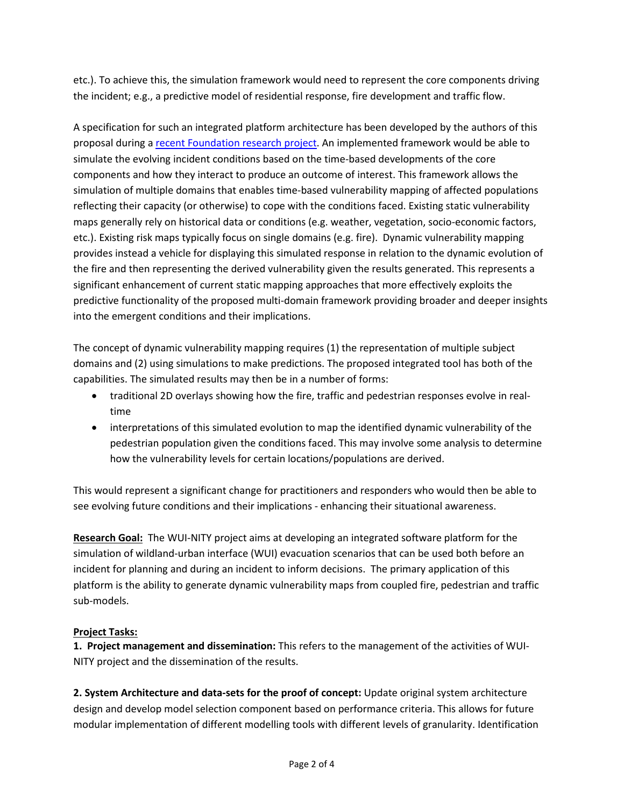etc.). To achieve this, the simulation framework would need to represent the core components driving the incident; e.g., a predictive model of residential response, fire development and traffic flow.

A specification for such an integrated platform architecture has been developed by the authors of this proposal during [a recent Foundation](https://www.nfpa.org/News-and-Research/Fire-statistics-and-reports/Research-reports/Other-research-topics/Open-Multi-Physics-Framework-for-Modelling-Wildfire-Urban-Evacuation) research project. An implemented framework would be able to simulate the evolving incident conditions based on the time-based developments of the core components and how they interact to produce an outcome of interest. This framework allows the simulation of multiple domains that enables time-based vulnerability mapping of affected populations reflecting their capacity (or otherwise) to cope with the conditions faced. Existing static vulnerability maps generally rely on historical data or conditions (e.g. weather, vegetation, socio-economic factors, etc.). Existing risk maps typically focus on single domains (e.g. fire). Dynamic vulnerability mapping provides instead a vehicle for displaying this simulated response in relation to the dynamic evolution of the fire and then representing the derived vulnerability given the results generated. This represents a significant enhancement of current static mapping approaches that more effectively exploits the predictive functionality of the proposed multi-domain framework providing broader and deeper insights into the emergent conditions and their implications.

The concept of dynamic vulnerability mapping requires (1) the representation of multiple subject domains and (2) using simulations to make predictions. The proposed integrated tool has both of the capabilities. The simulated results may then be in a number of forms:

- traditional 2D overlays showing how the fire, traffic and pedestrian responses evolve in realtime
- interpretations of this simulated evolution to map the identified dynamic vulnerability of the pedestrian population given the conditions faced. This may involve some analysis to determine how the vulnerability levels for certain locations/populations are derived.

This would represent a significant change for practitioners and responders who would then be able to see evolving future conditions and their implications - enhancing their situational awareness.

**Research Goal:** The WUI-NITY project aims at developing an integrated software platform for the simulation of wildland-urban interface (WUI) evacuation scenarios that can be used both before an incident for planning and during an incident to inform decisions. The primary application of this platform is the ability to generate dynamic vulnerability maps from coupled fire, pedestrian and traffic sub-models.

### **Project Tasks:**

**1. Project management and dissemination:** This refers to the management of the activities of WUI-NITY project and the dissemination of the results.

**2. System Architecture and data-sets for the proof of concept:** Update original system architecture design and develop model selection component based on performance criteria. This allows for future modular implementation of different modelling tools with different levels of granularity. Identification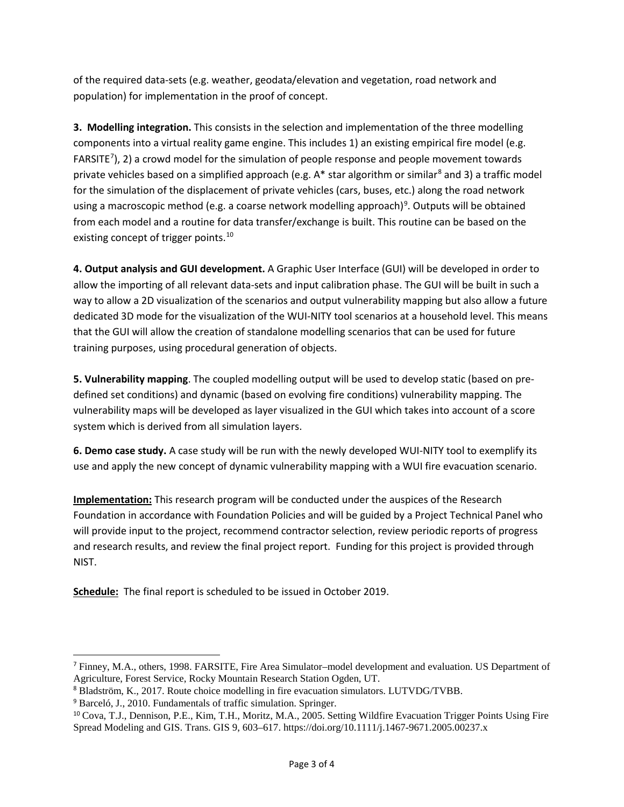of the required data-sets (e.g. weather, geodata/elevation and vegetation, road network and population) for implementation in the proof of concept.

**3. Modelling integration.** This consists in the selection and implementation of the three modelling components into a virtual reality game engine. This includes 1) an existing empirical fire model (e.g. FARSITE $^7$  $^7$ ), 2) a crowd model for the simulation of people response and people movement towards private vehicles based on a simplified approach (e.g.  $A^*$  star algorithm or similar<sup>[8](#page-2-1)</sup> and 3) a traffic model for the simulation of the displacement of private vehicles (cars, buses, etc.) along the road network using a macroscopic method (e.g. a coarse network modelling approach)<sup>[9](#page-2-2)</sup>. Outputs will be obtained from each model and a routine for data transfer/exchange is built. This routine can be based on the existing concept of trigger points.<sup>[10](#page-2-3)</sup>

**4. Output analysis and GUI development.** A Graphic User Interface (GUI) will be developed in order to allow the importing of all relevant data-sets and input calibration phase. The GUI will be built in such a way to allow a 2D visualization of the scenarios and output vulnerability mapping but also allow a future dedicated 3D mode for the visualization of the WUI-NITY tool scenarios at a household level. This means that the GUI will allow the creation of standalone modelling scenarios that can be used for future training purposes, using procedural generation of objects.

**5. Vulnerability mapping**. The coupled modelling output will be used to develop static (based on predefined set conditions) and dynamic (based on evolving fire conditions) vulnerability mapping. The vulnerability maps will be developed as layer visualized in the GUI which takes into account of a score system which is derived from all simulation layers.

**6. Demo case study.** A case study will be run with the newly developed WUI-NITY tool to exemplify its use and apply the new concept of dynamic vulnerability mapping with a WUI fire evacuation scenario.

**Implementation:** This research program will be conducted under the auspices of the Research Foundation in accordance with Foundation Policies and will be guided by a Project Technical Panel who will provide input to the project, recommend contractor selection, review periodic reports of progress and research results, and review the final project report. Funding for this project is provided through NIST.

**Schedule:** The final report is scheduled to be issued in October 2019.

l

<span id="page-2-0"></span><sup>7</sup> Finney, M.A., others, 1998. FARSITE, Fire Area Simulator–model development and evaluation. US Department of Agriculture, Forest Service, Rocky Mountain Research Station Ogden, UT.

<span id="page-2-1"></span><sup>8</sup> Bladström, K., 2017. Route choice modelling in fire evacuation simulators. LUTVDG/TVBB.

<span id="page-2-2"></span><sup>9</sup> Barceló, J., 2010. Fundamentals of traffic simulation. Springer.

<span id="page-2-3"></span><sup>10</sup> Cova, T.J., Dennison, P.E., Kim, T.H., Moritz, M.A., 2005. Setting Wildfire Evacuation Trigger Points Using Fire Spread Modeling and GIS. Trans. GIS 9, 603–617. https://doi.org/10.1111/j.1467-9671.2005.00237.x